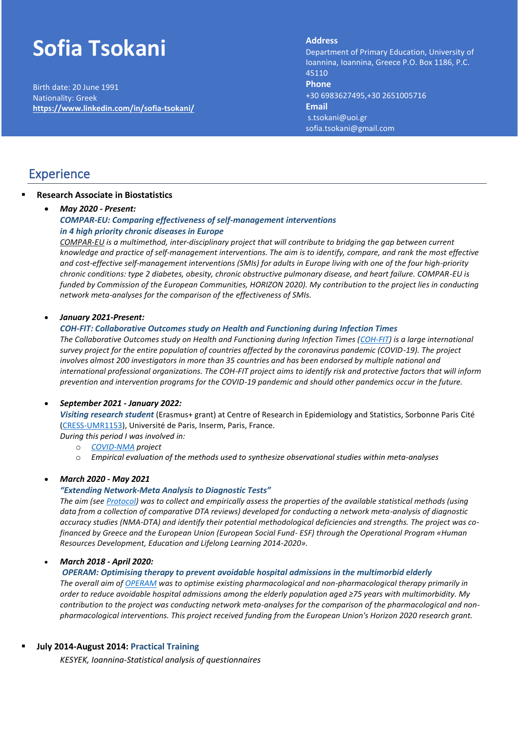# **Sofia Tsokani**

Birth date: 20 June 1991 Nationality: Greek **<https://www.linkedin.com/in/sofia-tsokani/>**

### **Address: Address**

Department of Primary Education, Department of Primary Education, University of Ioannina, Ioannina, Greece P.O. Box 1186, P.C.<br>45110 **Phone Phone Phone:** +30 6983627495,+30 2651005716 +30 6983627495,+30 2651004324 **Email Email:** sofia.tsokani@uoi.gr s.tsokani@uoi.gr sofia.tsokani@gmail.com sofia.tsokani@gmail.com45110

### **Experience**

### ▪ **Research Associate in Biostatistics**

### • *May 2020 - Present:*

### *COMPAR-EU: Comparing effectiveness of self-management interventions in 4 high priority chronic diseases in Europe*

*[COMPAR-EU](https://self-management.eu/) is a multimethod, inter-disciplinary project that will contribute to bridging the gap between current knowledge and practice of self-management interventions. The aim is to identify, compare, and rank the most effective and cost-effective self-management interventions (SMIs) for adults in Europe living with one of the four high-priority chronic conditions: type 2 diabetes, obesity, chronic obstructive pulmonary disease, and heart failure. COMPAR-EU is funded by Commission of the European Communities, HORIZON 2020). My contribution to the project lies in conducting network meta-analyses for the comparison of the effectiveness of SMIs.*

#### • *January 2021-Present:*

#### *COH-FIT: Collaborative Outcomes study on Health and Functioning during Infection Times*

*The Collaborative Outcomes study on Health and Functioning during Infection Times [\(COH-FIT\)](https://www.coh-fit.com/) is a large international survey project for the entire population of countries affected by the coronavirus pandemic (COVID-19). The project involves almost 200 investigators in more than 35 countries and has been endorsed by multiple national and international professional organizations. The COH-FIT project aims to identify risk and protective factors that will inform prevention and intervention programs for the COVID-19 pandemic and should other pandemics occur in the future.*

### • *September 2021 - January 2022:*

*Visiting research student* (Erasmus+ grant) at Centre of Research in Epidemiology and Statistics, Sorbonne Paris Cité [\(CRESS-UMR1153\)](https://cress-umr1153.fr/), Université de Paris, Inserm, Paris, France.

*During this period I was involved in:*

- o *[COVID-NMA](https://covid-nma.com/) project*
- o *Empirical evaluation of the methods used to synthesize observational studies within meta-analyses*

### • *March 2020 - May 2021*

#### *"Extending Network-Meta Analysis to Diagnostic Tests"*

*The aim (se[e Protocol\)](https://esm.uoi.gr/wp-content/uploads/2020/05/DiagnosNMA_protocol.pdf) was to collect and empirically assess the properties of the available statistical methods (using data from a collection of comparative DTA reviews) developed for conducting a network meta-analysis of diagnostic accuracy studies (NMA-DTA) and identify their potential methodological deficiencies and strengths. The project was cofinanced by Greece and the European Union (European Social Fund- ESF) through the Operational Program «Human Resources Development, Education and Lifelong Learning 2014-2020».*

### • *March 2018 - April 2020:*

#### *OPERAM: Optimising therapy to prevent avoidable hospital admissions in the multimorbid elderly*

*The overall aim of [OPERAM](https://www.operam-2020.eu/) was to optimise existing pharmacological and non-pharmacological therapy primarily in order to reduce avoidable hospital admissions among the elderly population aged ≥75 years with multimorbidity. My contribution to the project was conducting network meta-analyses for the comparison of the pharmacological and nonpharmacological interventions. This project received funding from the European Union's Horizon 2020 research grant.*

### ▪ **July 2014-August 2014: Practical Training**

*KESYEK, Ioannina-Statistical analysis of questionnaires*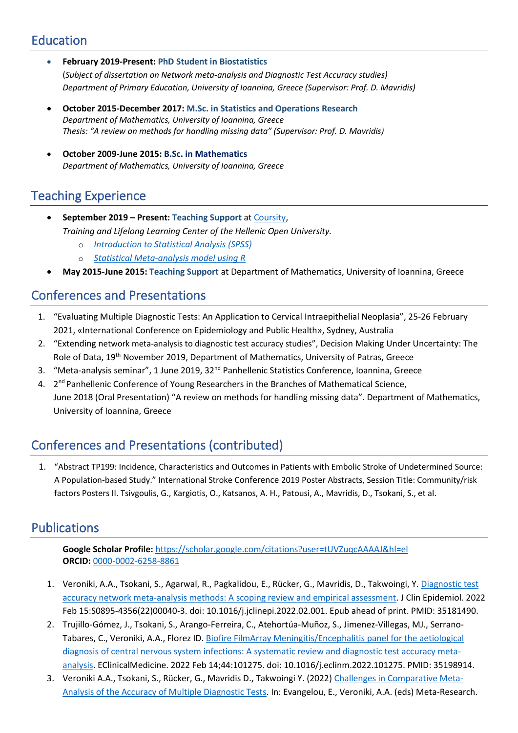# Education

- **February 2019-Present: PhD Student in Biostatistics** (*Subject of dissertation on Network meta-analysis and Diagnostic Test Accuracy studies) Department of Primary Education, University of Ioannina, Greece (Supervisor: Prof. D. Mavridis)*
- **October 2015-December 2017: M.Sc. in Statistics and Operations Research** *Department of Mathematics, University of Ioannina, Greece Thesis: "A review on methods for handling missing data" (Supervisor: Prof. D. Mavridis)*
- **October 2009-June 2015: B.Sc. in Mathematics** *Department of Mathematics, University of Ioannina, Greece*

# Teaching Experience

- **September 2019 – Present: Teaching Support** a[t Coursity,](https://coursity.gr/) *Training and Lifelong Learning Center of the Hellenic Open University.*
	- o *[Introduction to Statistical Analysis \(SPSS\)](https://coursity.gr/courses/course-v1:EAP+StatAnal+2022_T1/about)*
	- o *[Statistical Meta-analysis model using R](https://coursity.gr/courses/course-v1:EAP+MetAnal+2022_T1/about)*
- **May 2015-June 2015: Teaching Support** at Department of Mathematics, University of Ioannina, Greece

# Conferences and Presentations

- 1. "Evaluating Multiple Diagnostic Tests: An Application to Cervical Intraepithelial Neoplasia", 25-26 February 2021, «International Conference on Epidemiology and Public Health», Sydney, Australia
- 2. "Extending network meta-analysis to diagnostic test accuracy studies", Decision Making Under Uncertainty: The Role of Data, 19<sup>th</sup> November 2019, Department of Mathematics, University of Patras, Greece
- 3. "Meta-analysis seminar", 1 June 2019, 32<sup>nd</sup> Panhellenic Statistics Conference, Ioannina, Greece
- 4. 2<sup>nd</sup> Panhellenic Conference of Young Researchers in the Branches of Mathematical Science, June 2018 (Oral Presentation) "A review on methods for handling missing data". Department of Mathematics, University of Ioannina, Greece

# Conferences and Presentations (contributed)

1. "Abstract TP199: Incidence, Characteristics and Outcomes in Patients with Embolic Stroke of Undetermined Source: A Population-based Study." International Stroke Conference 2019 Poster Abstracts, Session Title: Community/risk factors Posters II. Tsivgoulis, G., Kargiotis, O., Katsanos, A. H., Patousi, A., Mavridis, D., Tsokani, S., et al.

# **Publications**

**Google Scholar Profile:** <https://scholar.google.com/citations?user=tUVZuqcAAAAJ&hl=el> **ORCID:** [0000-0002-6258-8861](https://orcid.org/0000-0002-6258-8861)

- 1. Veroniki, A.A., Tsokani, S., Agarwal, R., Pagkalidou, E., Rücker, G., Mavridis, D., Takwoingi, Y. Diagnostic test [accuracy network meta-analysis methods: A scoping review and empirical assessment.](https://pubmed.ncbi.nlm.nih.gov/35181490/) J Clin Epidemiol. 2022 Feb 15:S0895-4356(22)00040-3. doi: 10.1016/j.jclinepi.2022.02.001. Epub ahead of print. PMID: 35181490.
- 2. Trujillo-Gómez, J., Tsokani, S., Arango-Ferreira, C., Atehortúa-Muñoz, S., Jimenez-Villegas, MJ., Serrano-Tabares, C., Veroniki, A.A., Florez ID[. Biofire FilmArray Meningitis/Encephalitis panel for the aetiological](https://pubmed.ncbi.nlm.nih.gov/35198914/)  [diagnosis of central nervous system infections: A systematic review and diagnostic test accuracy meta](https://pubmed.ncbi.nlm.nih.gov/35198914/)[analysis.](https://pubmed.ncbi.nlm.nih.gov/35198914/) EClinicalMedicine. 2022 Feb 14;44:101275. doi: 10.1016/j.eclinm.2022.101275. PMID: 35198914.
- 3. Veroniki A.A., Tsokani, S., Rücker, G., Mavridis D., Takwoingi Y. (2022) [Challenges in Comparative Meta-](https://pubmed.ncbi.nlm.nih.gov/34550598/)[Analysis of the Accuracy of Multiple Diagnostic Tests.](https://pubmed.ncbi.nlm.nih.gov/34550598/) In: Evangelou, E., Veroniki, A.A. (eds) Meta-Research.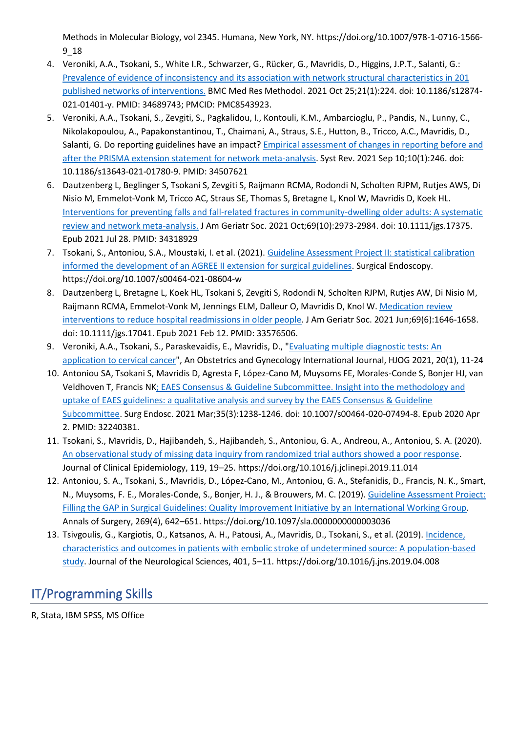Methods in Molecular Biology, vol 2345. Humana, New York, NY. https://doi.org/10.1007/978-1-0716-1566- 9\_18

- 4. Veroniki, A.A., Tsokani, S., White I.R., Schwarzer, G., Rücker, G., Mavridis, D., Higgins, J.P.T., Salanti, G.: [Prevalence of evidence of inconsistency and its association with network structural characteristics in 201](https://pubmed.ncbi.nlm.nih.gov/34689743/)  [published networks of interventions.](https://pubmed.ncbi.nlm.nih.gov/34689743/) BMC Med Res Methodol. 2021 Oct 25;21(1):224. doi: 10.1186/s12874- 021-01401-y. PMID: 34689743; PMCID: PMC8543923.
- 5. Veroniki, A.A., Tsokani, S., Zevgiti, S., Pagkalidou, I., Kontouli, K.M., Ambarcioglu, P., Pandis, N., Lunny, C., Nikolakopoulou, A., Papakonstantinou, T., Chaimani, A., Straus, S.E., Hutton, B., Tricco, A.C., Mavridis, D., Salanti, G. Do reporting guidelines have an impact[? Empirical assessment of changes in reporting before and](https://pubmed.ncbi.nlm.nih.gov/34507621/)  [after the PRISMA extension statement for network meta-analysis.](https://pubmed.ncbi.nlm.nih.gov/34507621/) Syst Rev. 2021 Sep 10;10(1):246. doi: 10.1186/s13643-021-01780-9. PMID: 34507621
- 6. Dautzenberg L, Beglinger S, Tsokani S, Zevgiti S, Raijmann RCMA, Rodondi N, Scholten RJPM, Rutjes AWS, Di Nisio M, Emmelot-Vonk M, Tricco AC, Straus SE, Thomas S, Bretagne L, Knol W, Mavridis D, Koek HL. [Interventions for preventing falls and fall-related fractures in community-dwelling older adults: A systematic](https://pubmed.ncbi.nlm.nih.gov/34318929/)  [review and network meta-analysis.](https://pubmed.ncbi.nlm.nih.gov/34318929/) J Am Geriatr Soc. 2021 Oct;69(10):2973-2984. doi: 10.1111/jgs.17375. Epub 2021 Jul 28. PMID: 34318929
- 7. Tsokani, S., Antoniou, S.A., Moustaki, I. et al. (2021). Guideline Assessment Project II: statistical calibration [informed the development of an AGREE II extension for surgical guidelines.](https://pubmed.ncbi.nlm.nih.gov/34159464/) Surgical Endoscopy. https://doi.org/10.1007/s00464-021-08604-w
- 8. Dautzenberg L, Bretagne L, Koek HL, Tsokani S, Zevgiti S, Rodondi N, Scholten RJPM, Rutjes AW, Di Nisio M, Raijmann RCMA, Emmelot-Vonk M, Jennings ELM, Dalleur O, Mavridis D, Knol W. [Medication review](https://pubmed.ncbi.nlm.nih.gov/33576506/)  [interventions to reduce hospital readmissions in older people.](https://pubmed.ncbi.nlm.nih.gov/33576506/) J Am Geriatr Soc. 2021 Jun;69(6):1646-1658. doi: 10.1111/jgs.17041. Epub 2021 Feb 12. PMID: 33576506.
- 9. Veroniki, A.A., Tsokani, S., Paraskevaidis, E., Mavridis, D., ["Evaluating multiple diagnostic tests: An](https://hjog.org/?p=2161)  [application to cervical cancer"](https://hjog.org/?p=2161), An Obstetrics and Gynecology International Journal, HJOG 2021, 20(1), 11-24
- 10. Antoniou SA, Tsokani S, Mavridis D, Agresta F, López-Cano M, Muysoms FE, Morales-Conde S, Bonjer HJ, van Veldhoven T, Francis N[K; EAES Consensus & Guideline Subcommittee. Insight into the methodology and](https://pubmed.ncbi.nlm.nih.gov/32240381/)  [uptake of EAES guidelines: a qualitative analysis and survey by the EAES Consensus & Guideline](https://pubmed.ncbi.nlm.nih.gov/32240381/)  [Subcommittee.](https://pubmed.ncbi.nlm.nih.gov/32240381/) Surg Endosc. 2021 Mar;35(3):1238-1246. doi: 10.1007/s00464-020-07494-8. Epub 2020 Apr 2. PMID: 32240381.
- 11. Tsokani, S., Mavridis, D., Hajibandeh, S., Hajibandeh, S., Antoniou, G. A., Andreou, A., Antoniou, S. A. (2020). [An observational study of missing data inquiry from randomized trial authors showed a poor response.](https://pubmed.ncbi.nlm.nih.gov/31778777/) Journal of Clinical Epidemiology, 119, 19–25. https://doi.org/10.1016/j.jclinepi.2019.11.014
- 12. Antoniou, S. A., Tsokani, S., Mavridis, D., López-Cano, M., Antoniou, G. A., Stefanidis, D., Francis, N. K., Smart, N., Muysoms, F. E., Morales-Conde, S., Bonjer, H. J., & Brouwers, M. C. (2019). [Guideline Assessment Project:](https://pubmed.ncbi.nlm.nih.gov/30188402/)  [Filling the GAP in Surgical Guidelines: Quality Improvement Initiative by an International Working Group.](https://pubmed.ncbi.nlm.nih.gov/30188402/) Annals of Surgery, 269(4), 642–651. https://doi.org/10.1097/sla.0000000000003036
- 13. Tsivgoulis, G., Kargiotis, O., Katsanos, A. H., Patousi, A., Mavridis, D., Tsokani, S., et al. (2019). Incidence, [characteristics and outcomes in patients with embolic stroke of undetermined source: A population-based](https://pubmed.ncbi.nlm.nih.gov/30986703/)  [study.](https://pubmed.ncbi.nlm.nih.gov/30986703/) Journal of the Neurological Sciences, 401, 5–11. https://doi.org/10.1016/j.jns.2019.04.008

# IT/Programming Skills

R, Stata, IBM SPSS, MS Office